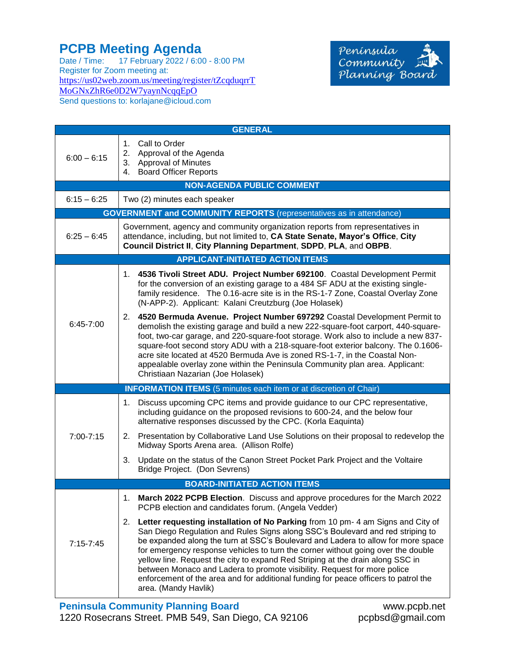## **PCPB Meeting Agenda**

Date / Time: 17 February 2022 / 6:00 - 8:00 PM Register for Zoom meeting at: [https://us02web.zoom.us/meeting/register/tZcqduqrrT](https://us02web.zoom.us/meeting/register/tZcqduqrrTMoGNxZhR6e0D2W7yaynNcqqEpO) [MoGNxZhR6e0D2W7yaynNcqqEpO](https://us02web.zoom.us/meeting/register/tZcqduqrrTMoGNxZhR6e0D2W7yaynNcqqEpO) Send questions to: korlajane@icloud.com



| <b>GENERAL</b>                                                             |                                                                                                                                                                                                                                                                                                                                                                                                                                                                                                                                                                                                                          |  |
|----------------------------------------------------------------------------|--------------------------------------------------------------------------------------------------------------------------------------------------------------------------------------------------------------------------------------------------------------------------------------------------------------------------------------------------------------------------------------------------------------------------------------------------------------------------------------------------------------------------------------------------------------------------------------------------------------------------|--|
| $6:00 - 6:15$                                                              | 1. Call to Order<br>2. Approval of the Agenda<br>3. Approval of Minutes<br>4. Board Officer Reports                                                                                                                                                                                                                                                                                                                                                                                                                                                                                                                      |  |
| <b>NON-AGENDA PUBLIC COMMENT</b>                                           |                                                                                                                                                                                                                                                                                                                                                                                                                                                                                                                                                                                                                          |  |
| $6:15 - 6:25$                                                              | Two (2) minutes each speaker                                                                                                                                                                                                                                                                                                                                                                                                                                                                                                                                                                                             |  |
| <b>GOVERNMENT and COMMUNITY REPORTS</b> (representatives as in attendance) |                                                                                                                                                                                                                                                                                                                                                                                                                                                                                                                                                                                                                          |  |
| $6:25 - 6:45$                                                              | Government, agency and community organization reports from representatives in<br>attendance, including, but not limited to, CA State Senate, Mayor's Office, City<br>Council District II, City Planning Department, SDPD, PLA, and OBPB.                                                                                                                                                                                                                                                                                                                                                                                 |  |
| <b>APPLICANT-INITIATED ACTION ITEMS</b>                                    |                                                                                                                                                                                                                                                                                                                                                                                                                                                                                                                                                                                                                          |  |
| $6:45 - 7:00$                                                              | 1. 4536 Tivoli Street ADU. Project Number 692100. Coastal Development Permit<br>for the conversion of an existing garage to a 484 SF ADU at the existing single-<br>family residence. The 0.16-acre site is in the RS-1-7 Zone, Coastal Overlay Zone<br>(N-APP-2). Applicant: Kalani Creutzburg (Joe Holasek)                                                                                                                                                                                                                                                                                                            |  |
|                                                                            | 2. 4520 Bermuda Avenue. Project Number 697292 Coastal Development Permit to<br>demolish the existing garage and build a new 222-square-foot carport, 440-square-<br>foot, two-car garage, and 220-square-foot storage. Work also to include a new 837-<br>square-foot second story ADU with a 218-square-foot exterior balcony. The 0.1606-<br>acre site located at 4520 Bermuda Ave is zoned RS-1-7, in the Coastal Non-<br>appealable overlay zone within the Peninsula Community plan area. Applicant:<br>Christiaan Nazarian (Joe Holasek)                                                                           |  |
|                                                                            | <b>INFORMATION ITEMS</b> (5 minutes each item or at discretion of Chair)                                                                                                                                                                                                                                                                                                                                                                                                                                                                                                                                                 |  |
| 7:00-7:15                                                                  | Discuss upcoming CPC items and provide guidance to our CPC representative,<br>1.<br>including guidance on the proposed revisions to 600-24, and the below four<br>alternative responses discussed by the CPC. (Korla Eaquinta)                                                                                                                                                                                                                                                                                                                                                                                           |  |
|                                                                            | 2. Presentation by Collaborative Land Use Solutions on their proposal to redevelop the<br>Midway Sports Arena area. (Allison Rolfe)                                                                                                                                                                                                                                                                                                                                                                                                                                                                                      |  |
|                                                                            | 3.<br>Update on the status of the Canon Street Pocket Park Project and the Voltaire<br>Bridge Project. (Don Sevrens)                                                                                                                                                                                                                                                                                                                                                                                                                                                                                                     |  |
| <b>BOARD-INITIATED ACTION ITEMS</b>                                        |                                                                                                                                                                                                                                                                                                                                                                                                                                                                                                                                                                                                                          |  |
| $7:15 - 7:45$                                                              | March 2022 PCPB Election. Discuss and approve procedures for the March 2022<br>1.<br>PCPB election and candidates forum. (Angela Vedder)                                                                                                                                                                                                                                                                                                                                                                                                                                                                                 |  |
|                                                                            | 2. Letter requesting installation of No Parking from 10 pm-4 am Signs and City of<br>San Diego Regulation and Rules Signs along SSC's Boulevard and red striping to<br>be expanded along the turn at SSC's Boulevard and Ladera to allow for more space<br>for emergency response vehicles to turn the corner without going over the double<br>yellow line. Request the city to expand Red Striping at the drain along SSC in<br>between Monaco and Ladera to promote visibility. Request for more police<br>enforcement of the area and for additional funding for peace officers to patrol the<br>area. (Mandy Havlik) |  |